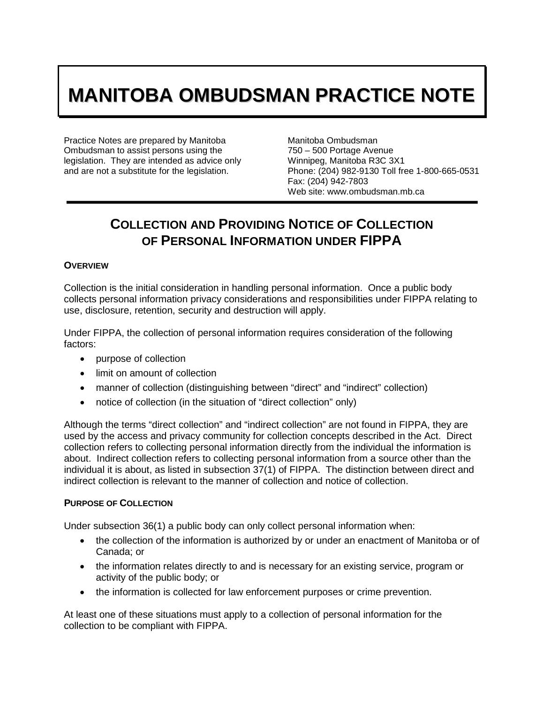# **MANITOBA OMBUDSMAN PRACTICE NOTE**

Practice Notes are prepared by Manitoba Ombudsman to assist persons using the legislation. They are intended as advice only and are not a substitute for the legislation.

Manitoba Ombudsman 750 – 500 Portage Avenue Winnipeg, Manitoba R3C 3X1 Phone: (204) 982-9130 Toll free 1-800-665-0531 Fax: (204) 942-7803 Web site: www.ombudsman.mb.ca

# **COLLECTION AND PROVIDING NOTICE OF COLLECTION OF PERSONAL INFORMATION UNDER FIPPA**

# **OVERVIEW**

Collection is the initial consideration in handling personal information. Once a public body collects personal information privacy considerations and responsibilities under FIPPA relating to use, disclosure, retention, security and destruction will apply.

Under FIPPA, the collection of personal information requires consideration of the following factors:

- purpose of collection
- limit on amount of collection
- manner of collection (distinguishing between "direct" and "indirect" collection)
- notice of collection (in the situation of "direct collection" only)

Although the terms "direct collection" and "indirect collection" are not found in FIPPA, they are used by the access and privacy community for collection concepts described in the Act. Direct collection refers to collecting personal information directly from the individual the information is about. Indirect collection refers to collecting personal information from a source other than the individual it is about, as listed in subsection 37(1) of FIPPA. The distinction between direct and indirect collection is relevant to the manner of collection and notice of collection.

# **PURPOSE OF COLLECTION**

Under subsection 36(1) a public body can only collect personal information when:

- the collection of the information is authorized by or under an enactment of Manitoba or of Canada; or
- the information relates directly to and is necessary for an existing service, program or activity of the public body; or
- the information is collected for law enforcement purposes or crime prevention.

At least one of these situations must apply to a collection of personal information for the collection to be compliant with FIPPA.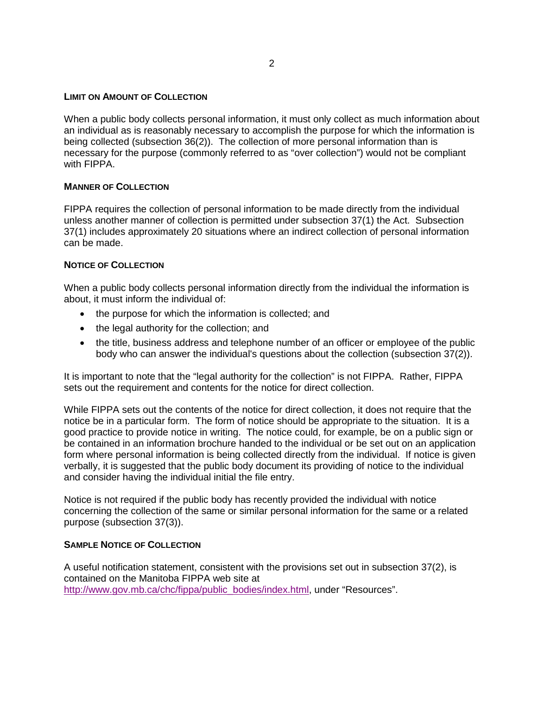#### **LIMIT ON AMOUNT OF COLLECTION**

When a public body collects personal information, it must only collect as much information about an individual as is reasonably necessary to accomplish the purpose for which the information is being collected (subsection 36(2)). The collection of more personal information than is necessary for the purpose (commonly referred to as "over collection") would not be compliant with FIPPA.

# **MANNER OF COLLECTION**

FIPPA requires the collection of personal information to be made directly from the individual unless another manner of collection is permitted under subsection 37(1) the Act. Subsection 37(1) includes approximately 20 situations where an indirect collection of personal information can be made.

# **NOTICE OF COLLECTION**

When a public body collects personal information directly from the individual the information is about, it must inform the individual of:

- the purpose for which the information is collected; and
- the legal authority for the collection; and
- the title, business address and telephone number of an officer or employee of the public body who can answer the individual's questions about the collection (subsection 37(2)).

It is important to note that the "legal authority for the collection" is not FIPPA. Rather, FIPPA sets out the requirement and contents for the notice for direct collection.

While FIPPA sets out the contents of the notice for direct collection, it does not require that the notice be in a particular form. The form of notice should be appropriate to the situation. It is a good practice to provide notice in writing. The notice could, for example, be on a public sign or be contained in an information brochure handed to the individual or be set out on an application form where personal information is being collected directly from the individual. If notice is given verbally, it is suggested that the public body document its providing of notice to the individual and consider having the individual initial the file entry.

Notice is not required if the public body has recently provided the individual with notice concerning the collection of the same or similar personal information for the same or a related purpose (subsection 37(3)).

# **SAMPLE NOTICE OF COLLECTION**

A useful notification statement, consistent with the provisions set out in subsection 37(2), is contained on the Manitoba FIPPA web site at [http://www.gov.mb.ca/chc/fippa/public\\_bodies/index.html,](http://www.gov.mb.ca/chc/fippa/public_bodies/index.html) under "Resources".